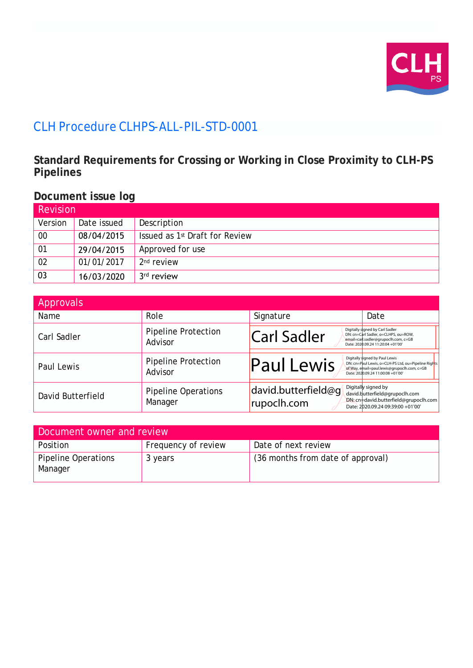

# CLH Procedure CLHPS-ALL-PIL-STD-0001

**Standard Requirements for Crossing or Working in Close Proximity to CLH-PS Pipelines**

## **Document issue log**

| Revision |             |                                            |  |  |  |
|----------|-------------|--------------------------------------------|--|--|--|
| Version  | Date issued | Description                                |  |  |  |
| $00\,$   | 08/04/2015  | Issued as 1 <sup>st</sup> Draft for Review |  |  |  |
| 01       | 29/04/2015  | Approved for use                           |  |  |  |
| 02       | 01/01/2017  | 2 <sup>nd</sup> review                     |  |  |  |
| 03       | 16/03/2020  | 3 <sup>rd</sup> review                     |  |  |  |

| Approvals         |                                       |                                    |                                                                                                                                                                           |
|-------------------|---------------------------------------|------------------------------------|---------------------------------------------------------------------------------------------------------------------------------------------------------------------------|
| Name              | Role                                  | Signature                          | Date                                                                                                                                                                      |
| Carl Sadler       | <b>Pipeline Protection</b><br>Advisor | <b>Carl Sadler</b>                 | Digitally signed by Carl Sadler<br>DN: cn=Carl Sadler, o=CLHPS, ou=ROW,<br>email=carl.sadler@grupoclh.com, c=GB<br>Date: 2020.09.24 11:20:04 +01'00'                      |
| Paul Lewis        | <b>Pipeline Protection</b><br>Advisor | <b>Paul Lewis</b>                  | Digitally signed by Paul Lewis<br>DN: cn=Paul Lewis, o=CLH-PS Ltd, ou=Pipeline Rights<br>of Way, email=paul.lewis@grupoclh.com, c=GB<br>Date: 2020.09.24 11:00:08 +01'00' |
| David Butterfield | <b>Pipeline Operations</b><br>Manager | david.butterfield@q<br>rupoclh.com | Digitally signed by<br>david.butterfield@grupoclh.com<br>DN: cn=david.butterfield@grupoclh.com<br>Date: 2020.09.24 09:39:00 +01'00'                                       |

| Document owner and review      |                     |                                   |  |  |
|--------------------------------|---------------------|-----------------------------------|--|--|
| <b>Position</b>                | Frequency of review | Date of next review               |  |  |
| Pipeline Operations<br>Manager | 3 years             | (36 months from date of approval) |  |  |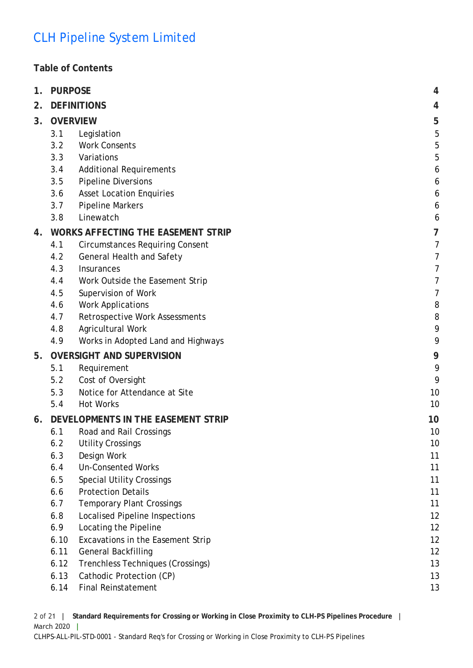## **Table of Contents**

| 1. | <b>PURPOSE</b>                            |                                        |    |
|----|-------------------------------------------|----------------------------------------|----|
| 2. | <b>DEFINITIONS</b>                        |                                        |    |
| 3. |                                           | <b>OVERVIEW</b>                        | 5  |
|    | 3.1                                       | Legislation                            | 5  |
|    | 3.2                                       | <b>Work Consents</b>                   | 5  |
|    | 3.3                                       | Variations                             | 5  |
|    | 3.4                                       | <b>Additional Requirements</b>         | 6  |
|    | 3.5                                       | <b>Pipeline Diversions</b>             | 6  |
|    | 3.6                                       | <b>Asset Location Enquiries</b>        | 6  |
|    | 3.7                                       | <b>Pipeline Markers</b>                | 6  |
|    | 3.8                                       | Linewatch                              | 6  |
| 4. | <b>WORKS AFFECTING THE EASEMENT STRIP</b> |                                        | 7  |
|    | 4.1                                       | <b>Circumstances Requiring Consent</b> | 7  |
|    | 4.2                                       | General Health and Safety              | 7  |
|    | 4.3                                       | Insurances                             | 7  |
|    | 4.4                                       | Work Outside the Easement Strip        | 7  |
|    | 4.5                                       | Supervision of Work                    | 7  |
|    | 4.6                                       | <b>Work Applications</b>               | 8  |
|    | 4.7                                       | Retrospective Work Assessments         | 8  |
|    | 4.8                                       | Agricultural Work                      | 9  |
|    | 4.9                                       | Works in Adopted Land and Highways     | 9  |
| 5. | <b>OVERSIGHT AND SUPERVISION</b>          | 9                                      |    |
|    | 5.1                                       | Requirement                            | 9  |
|    | 5.2                                       | Cost of Oversight                      | 9  |
|    | 5.3                                       | Notice for Attendance at Site          | 10 |
|    | 5.4                                       | <b>Hot Works</b>                       | 10 |
| 6. | DEVELOPMENTS IN THE EASEMENT STRIP        | 10                                     |    |
|    | 6.1                                       | Road and Rail Crossings                | 10 |
|    | 6.2                                       | <b>Utility Crossings</b>               | 10 |
|    | 6.3                                       | Design Work                            | 11 |
|    | 6.4                                       | <b>Un-Consented Works</b>              | 11 |
|    | 6.5                                       | <b>Special Utility Crossings</b>       | 11 |
|    | 6.6                                       | <b>Protection Details</b>              | 11 |
|    | 6.7                                       | <b>Temporary Plant Crossings</b>       | 11 |
|    | 6.8                                       | <b>Localised Pipeline Inspections</b>  | 12 |
|    | 6.9                                       | Locating the Pipeline                  | 12 |
|    | 6.10                                      | Excavations in the Easement Strip      | 12 |
|    | 6.11                                      | General Backfilling                    | 12 |
|    | 6.12                                      | Trenchless Techniques (Crossings)      | 13 |
|    | 6.13                                      | Cathodic Protection (CP)               | 13 |
|    | 6.14                                      | <b>Final Reinstatement</b>             | 13 |

2 of 21 **| Standard Requirements for Crossing or Working in Close Proximity to CLH-PS Pipelines Procedure |** March 2020 **|**

CLHPS-ALL-PIL-STD-0001 - Standard Req's for Crossing or Working in Close Proximity to CLH-PS Pipelines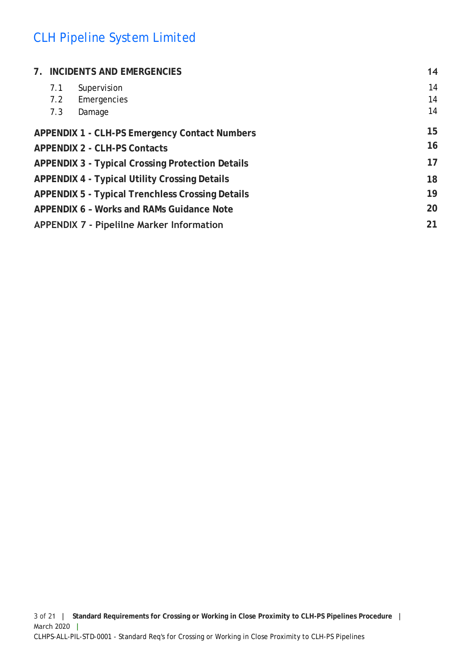| 7. INCIDENTS AND EMERGENCIES |                                                         | 14 |
|------------------------------|---------------------------------------------------------|----|
| 7.1                          | Supervision                                             | 14 |
| 7.2                          | Emergencies                                             | 14 |
| 7.3                          | Damage                                                  | 14 |
|                              | <b>APPENDIX 1 - CLH-PS Emergency Contact Numbers</b>    | 15 |
|                              | <b>APPENDIX 2 - CLH-PS Contacts</b>                     | 16 |
|                              | <b>APPENDIX 3 - Typical Crossing Protection Details</b> | 17 |
|                              | <b>APPENDIX 4 - Typical Utility Crossing Details</b>    | 18 |
|                              | <b>APPENDIX 5 - Typical Trenchless Crossing Details</b> | 19 |
|                              | APPENDIX 6 - Works and RAMs Guidance Note               | 20 |
|                              | <b>APPENDIX 7 - Pipelilne Marker Information</b>        | 21 |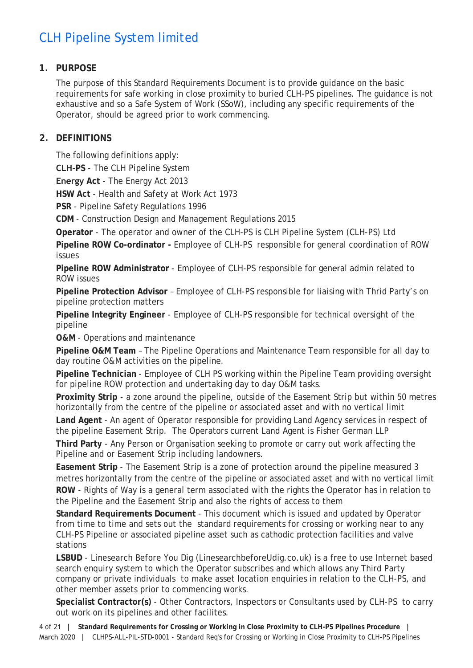## <span id="page-3-0"></span>**1. PURPOSE**

The purpose of this Standard Requirements Document is to provide guidance on the basic requirements for safe working in close proximity to buried CLH-PS pipelines. The guidance is not exhaustive and so a Safe System of Work (SSoW), including any specific requirements of the Operator, should be agreed prior to work commencing.

## <span id="page-3-1"></span>**2. DEFINITIONS**

The following definitions apply:

**CLH-PS** - The CLH Pipeline System

**Energy Act** - The Energy Act 2013

**HSW Act** - Health and Safety at Work Act 1973

**PSR** - Pipeline Safety Regulations 1996

**CDM** - Construction Design and Management Regulations 2015

**Operator** - The operator and owner of the CLH-PS is CLH Pipeline System (CLH-PS) Ltd

**Pipeline ROW Co-ordinator -** Employee of CLH-PS responsible for general coordination of ROW issues

**Pipeline ROW Administrator** - Employee of CLH-PS responsible for general admin related to ROW issues

**Pipeline Protection Advisor** – Employee of CLH-PS responsible for liaising with Thrid Party's on pipeline protection matters

**Pipeline Integrity Engineer** - Employee of CLH-PS responsible for technical oversight of the pipeline

**O&M** - Operations and maintenance

**Pipeline O&M Team** – The Pipeline Operations and Maintenance Team responsible for all day to day routine O&M activities on the pipeline.

**Pipeline Technician** - Employee of CLH PS working within the Pipeline Team providing oversight for pipeline ROW protection and undertaking day to day O&M tasks.

**Proximity Strip** - a zone around the pipeline, outside of the Easement Strip but within 50 metres horizontally from the centre of the pipeline or associated asset and with no vertical limit

**Land Agent** - An agent of Operator responsible for providing Land Agency services in respect of the pipeline Easement Strip. The Operators current Land Agent is Fisher German LLP

**Third Party** - Any Person or Organisation seeking to promote or carry out work affecting the Pipeline and or Easement Strip including landowners.

**Easement Strip** - The Easement Strip is a zone of protection around the pipeline measured 3 metres horizontally from the centre of the pipeline or associated asset and with no vertical limit **ROW** - Rights of Way is a general term associated with the rights the Operator has in relation to the Pipeline and the Easement Strip and also the rights of access to them

**Standard Requirements Document** - This document which is issued and updated by Operator from time to time and sets out the standard requirements for crossing or working near to any CLH-PS Pipeline or associated pipeline asset such as cathodic protection facilities and valve stations

**LSBUD** - Linesearch Before You Dig (LinesearchbeforeUdig.co.uk) is a free to use Internet based search enquiry system to which the Operator subscribes and which allows any Third Party company or private individuals to make asset location enquiries in relation to the CLH-PS, and other member assets prior to commencing works.

**Specialist Contractor(s)** - Other Contractors, Inspectors or Consultants used by CLH-PS to carry out work on its pipelines and other facilites.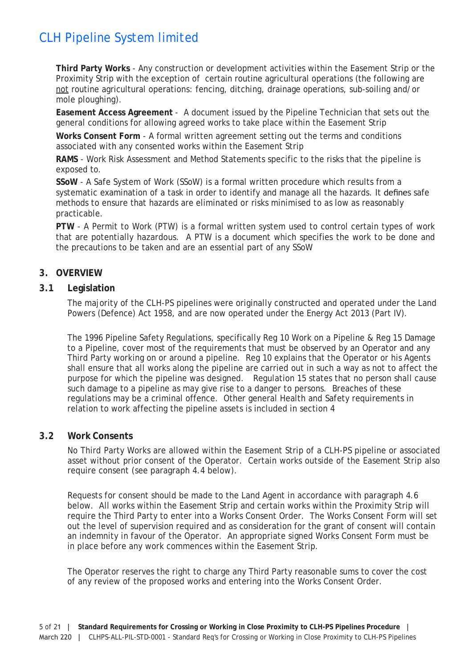**Third Party Works** - Any construction or development activities within the Easement Strip or the Proximity Strip with the exception of certain routine agricultural operations (the following are not routine agricultural operations: fencing, ditching, drainage operations, sub-soiling and/or mole ploughing).

**Easement Access Agreement** - A document issued by the Pipeline Technician that sets out the general conditions for allowing agreed works to take place within the Easement Strip

**Works Consent Form** - A formal written agreement setting out the terms and conditions associated with any consented works within the Easement Strip

**RAMS** - Work Risk Assessment and Method Statements specific to the risks that the pipeline is exposed to.

**SSoW** - A Safe System of Work (SSoW) is a formal written procedure which results from a systematic examination of a task in order to identify and manage all the hazards. It defines safe methods to ensure that hazards are eliminated or risks minimised to as low as reasonably practicable.

**PTW** - A Permit to Work (PTW) is a formal written system used to control certain types of work that are potentially hazardous. A PTW is a document which specifies the work to be done and the precautions to be taken and are an essential part of any SSoW

### <span id="page-4-0"></span>**3. OVERVIEW**

#### <span id="page-4-1"></span>**3.1 Legislation**

The majority of the CLH-PS pipelines were originally constructed and operated under the Land Powers (Defence) Act 1958, and are now operated under the Energy Act 2013 (Part IV).

The 1996 Pipeline Safety Regulations, specifically Reg 10 Work on a Pipeline & Reg 15 Damage to a Pipeline, cover most of the requirements that must be observed by an Operator and any Third Party working on or around a pipeline. Reg 10 explains that the Operator or his Agents shall ensure that all works along the pipeline are carried out in such a way as not to affect the purpose for which the pipeline was designed. Regulation 15 states that no person shall cause such damage to a pipeline as may give rise to a danger to persons. Breaches of these regulations may be a criminal offence. Other general Health and Safety requirements in relation to work affecting the pipeline assets is included in section 4

#### <span id="page-4-2"></span>**3.2 Work Consents**

No Third Party Works are allowed within the Easement Strip of a CLH-PS pipeline or associated asset without prior consent of the Operator. Certain works outside of the Easement Strip also require consent (see paragraph 4.4 below).

Requests for consent should be made to the Land Agent in accordance with paragraph 4.6 below. All works within the Easement Strip and certain works within the Proximity Strip will require the Third Party to enter into a Works Consent Order. The Works Consent Form will set out the level of supervision required and as consideration for the grant of consent will contain an indemnity in favour of the Operator. An appropriate signed Works Consent Form must be in place before any work commences within the Easement Strip.

The Operator reserves the right to charge any Third Party reasonable sums to cover the cost of any review of the proposed works and entering into the Works Consent Order.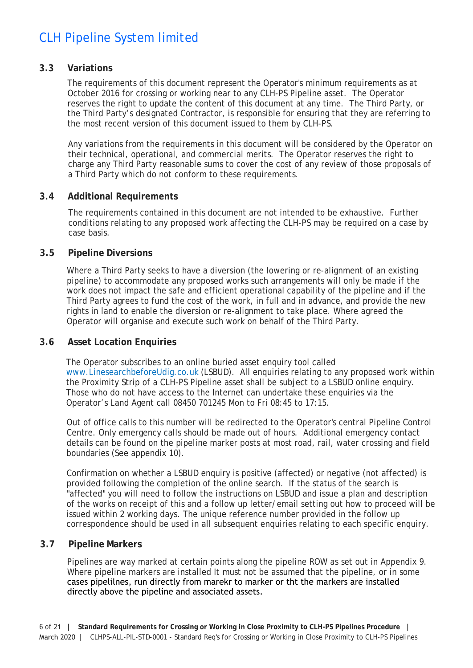#### <span id="page-5-0"></span>**3.3 Variations**

The requirements of this document represent the Operator's minimum requirements as at October 2016 for crossing or working near to any CLH-PS Pipeline asset. The Operator reserves the right to update the content of this document at any time. The Third Party, or the Third Party's designated Contractor, is responsible for ensuring that they are referring to the most recent version of this document issued to them by CLH-PS.

Any variations from the requirements in this document will be considered by the Operator on their technical, operational, and commercial merits. The Operator reserves the right to charge any Third Party reasonable sums to cover the cost of any review of those proposals of a Third Party which do not conform to these requirements.

#### <span id="page-5-1"></span>**3.4 Additional Requirements**

The requirements contained in this document are not intended to be exhaustive. Further conditions relating to any proposed work affecting the CLH-PS may be required on a case by case basis.

#### <span id="page-5-2"></span>**3.5 Pipeline Diversions**

Where a Third Party seeks to have a diversion (the lowering or re-alignment of an existing pipeline) to accommodate any proposed works such arrangements will only be made if the work does not impact the safe and efficient operational capability of the pipeline and if the Third Party agrees to fund the cost of the work, in full and in advance, and provide the new rights in land to enable the diversion or re-alignment to take place. Where agreed the Operator will organise and execute such work on behalf of the Third Party.

### <span id="page-5-3"></span>**3.6 Asset Location Enquiries**

The Operator subscribes to an online buried asset enquiry tool called www.LinesearchbeforeUdig.co.uk (LSBUD). All enquiries relating to any proposed work within [the Proximity Strip of a CLH-PS Pipe](http://www.linesearchbeforeudig.co.uk/)line asset shall be subject to a LSBUD online enquiry. Those who do not have access to the Internet can undertake these enquiries via the Operator's Land Agent call 08450 701245 Mon to Fri 08:45 to 17:15.

Out of office calls to this number will be redirected to the Operator's central Pipeline Control Centre. Only emergency calls should be made out of hours. Additional emergency contact details can be found on the pipeline marker posts at most road, rail, water crossing and field boundaries (See appendix 10).

Confirmation on whether a LSBUD enquiry is positive (affected) or negative (not affected) is provided following the completion of the online search. If the status of the search is "affected" you will need to follow the instructions on LSBUD and issue a plan and description of the works on receipt of this and a follow up letter/email setting out how to proceed will be issued within 2 working days. The unique reference number provided in the follow up correspondence should be used in all subsequent enquiries relating to each specific enquiry.

#### <span id="page-5-4"></span>**3.7 Pipeline Markers**

Pipelines are way marked at certain points along the pipeline ROW as set out in Appendix 9. Where pipeline markers are installed It must not be assumed that the pipeline, or in some cases pipelilnes, run directly from marekr to marker or tht the markers are installed directly above the pipeline and associated assets.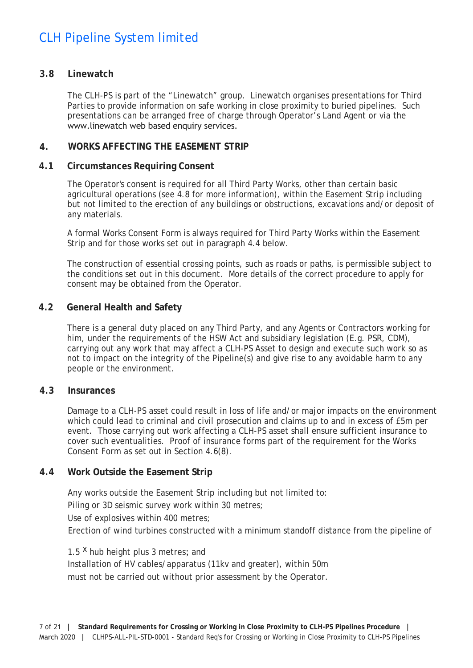#### <span id="page-6-0"></span>**3.8 Linewatch**

The CLH-PS is part of the "Linewatch" group. Linewatch organises presentations for Third Parties to provide information on safe working in close proximity to buried pipelines. Such presentations can be arranged free of charge through Operator's Land Agent or via the www.linewatch web based enquiry services.

#### **4. [WORKS AFFECTING T](http://www.linewatch.co.uk/)HE EASEMENT STRIP**

#### <span id="page-6-2"></span><span id="page-6-1"></span>**4.1 Circumstances Requiring Consent**

The Operator's consent is required for all Third Party Works, other than certain basic agricultural operations (see 4.8 for more information), within the Easement Strip including but not limited to the erection of any buildings or obstructions, excavations and/or deposit of any materials.

A formal Works Consent Form is always required for Third Party Works within the Easement Strip and for those works set out in paragraph 4.4 below.

The construction of essential crossing points, such as roads or paths, is permissible subject to the conditions set out in this document. More details of the correct procedure to apply for consent may be obtained from the Operator.

#### <span id="page-6-3"></span>**4.2 General Health and Safety**

There is a general duty placed on any Third Party, and any Agents or Contractors working for him, under the requirements of the HSW Act and subsidiary legislation (E.g. PSR, CDM), carrying out any work that may affect a CLH-PS Asset to design and execute such work so as not to impact on the integrity of the Pipeline(s) and give rise to any avoidable harm to any people or the environment.

#### <span id="page-6-4"></span>**4.3 Insurances**

Damage to a CLH-PS asset could result in loss of life and/or major impacts on the environment which could lead to criminal and civil prosecution and claims up to and in excess of £5m per event. Those carrying out work affecting a CLH-PS asset shall ensure sufficient insurance to cover such eventualities. Proof of insurance forms part of the requirement for the Works Consent Form as set out in Section 4.6(8).

### <span id="page-6-5"></span>**4.4 Work Outside the Easement Strip**

Any works outside the Easement Strip including but not limited to: Piling or 3D seismic survey work within 30 metres; Use of explosives within 400 metres; Erection of wind turbines constructed with a minimum standoff distance from the pipeline of

1.5<sup>X</sup> hub height plus 3 metres; and Installation of HV cables/apparatus (11kv and greater), within 50m must not be carried out without prior assessment by the Operator.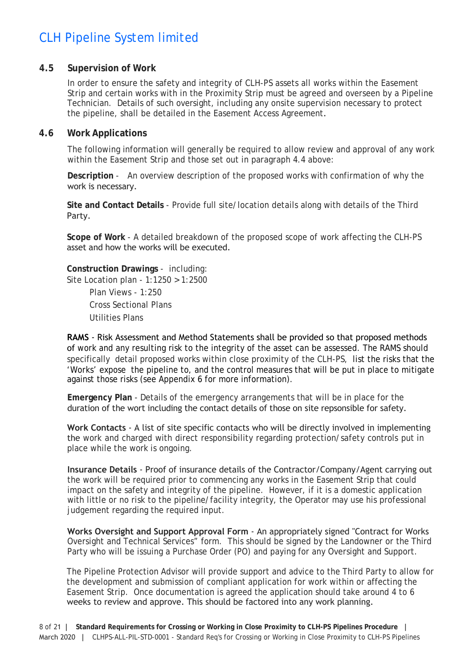#### <span id="page-7-0"></span>**4.5 Supervision of Work**

In order to ensure the safety and integrity of CLH-PS assets all works within the Easement Strip and certain works with in the Proximity Strip must be agreed and overseen by a Pipeline Technician. Details of such oversight, including any onsite supervision necessary to protect the pipeline, shall be detailed in the Easement Access Agreement.

#### <span id="page-7-1"></span>**4.6 Work Applications**

The following information will generally be required to allow review and approval of any work within the Easement Strip and those set out in paragraph 4.4 above:

**Description** - An overview description of the proposed works with confirmation of why the work is necessary.

**Site and Contact Details** - Provide full site/location details along with details of the Third Party.

**Scope of Work** - A detailed breakdown of the proposed scope of work affecting the CLH-PS asset and how the works will be executed.

**Construction Drawings** - including: Site Location plan - 1:1250 > 1:2500 Plan Views - 1:250 Cross Sectional Plans

Utilities Plans

**RAMS** - Risk Assessment and Method Statements shall be provided so that proposed methods of work and any resulting risk to the integrity of the asset can be assessed. The RAMS should specifically detail proposed works within close proximity of the CLH-PS, list the risks that the 'Works' expose the pipeline to, and the control measures that will be put in place to mitigate against those risks (see Appendix 6 for more information).

**Emergency Plan** - Details of the emergency arrangements that will be in place for the duration of the wort including the contact details of those on site repsonsible for safety.

**Work Contacts** - A list of site specific contacts who will be directly involved in implementing the work and charged with direct responsibility regarding protection/safety controls put in place while the work is ongoing.

**Insurance Details** - Proof of insurance details of the Contractor/Company/Agent carrying out the work will be required prior to commencing any works in the Easement Strip that could impact on the safety and integrity of the pipeline. However, if it is a domestic application with little or no risk to the pipeline/facility integrity, the Operator may use his professional judgement regarding the required input.

**Works Oversight and Support Approval Form** - An appropriately signed "Contract for Works Oversight and Technical Services" form. This should be signed by the Landowner or the Third Party who will be issuing a Purchase Order (PO) and paying for any Oversight and Support.

The Pipeline Protection Advisor will provide support and advice to the Third Party to allow for the development and submission of compliant application for work within or affecting the Easement Strip. Once documentation is agreed the application should take around 4 to 6 weeks to review and approve. This should be factored into any work planning.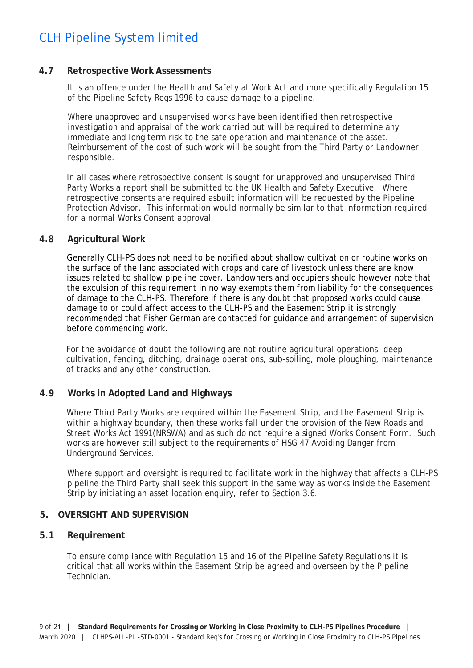#### <span id="page-8-0"></span>**4.7 Retrospective Work Assessments**

It is an offence under the Health and Safety at Work Act and more specifically Regulation 15 of the Pipeline Safety Regs 1996 to cause damage to a pipeline.

Where unapproved and unsupervised works have been identified then retrospective investigation and appraisal of the work carried out will be required to determine any immediate and long term risk to the safe operation and maintenance of the asset. Reimbursement of the cost of such work will be sought from the Third Party or Landowner responsible.

In all cases where retrospective consent is sought for unapproved and unsupervised Third Party Works a report shall be submitted to the UK Health and Safety Executive. Where retrospective consents are required asbuilt information will be requested by the Pipeline Protection Advisor. This information would normally be similar to that information required for a normal Works Consent approval.

#### <span id="page-8-1"></span>**4.8 Agricultural Work**

Generally CLH-PS does not need to be notified about shallow cultivation or routine works on the surface of the land associated with crops and care of livestock unless there are know issues related to shallow pipeline cover. Landowners and occupiers should however note that the exculsion of this requirement in no way exempts them from liability for the consequences of damage to the CLH-PS. Therefore if there is any doubt that proposed works could cause damage to or could affect access to the CLH-PS and the Easement Strip it is strongly recommended that Fisher German are contacted for guidance and arrangement of supervision before commencing work.

For the avoidance of doubt the following are not routine agricultural operations: deep cultivation, fencing, ditching, drainage operations, sub-soiling, mole ploughing, maintenance of tracks and any other construction.

#### **4.9 Works in Adopted Land and Highways**

<span id="page-8-2"></span>Where Third Party Works are required within the Easement Strip, and the Easement Strip is within a highway boundary, then these works fall under the provision of the New Roads and Street Works Act 1991(NRSWA) and as such do not require a signed Works Consent Form. Such works are however still subject to the requirements of HSG 47 Avoiding Danger from Underground Services.

Where support and oversight is required to facilitate work in the highway that affects a CLH-PS pipeline the Third Party shall seek this support in the same way as works inside the Easement Strip by initiating an asset location enquiry, refer to Section 3.6.

#### **5. OVERSIGHT AND SUPERVISION**

#### <span id="page-8-4"></span><span id="page-8-3"></span>**5.1 Requirement**

To ensure compliance with Regulation 15 and 16 of the Pipeline Safety Regulations it is critical that all works within the Easement Strip be agreed and overseen by the Pipeline Technician.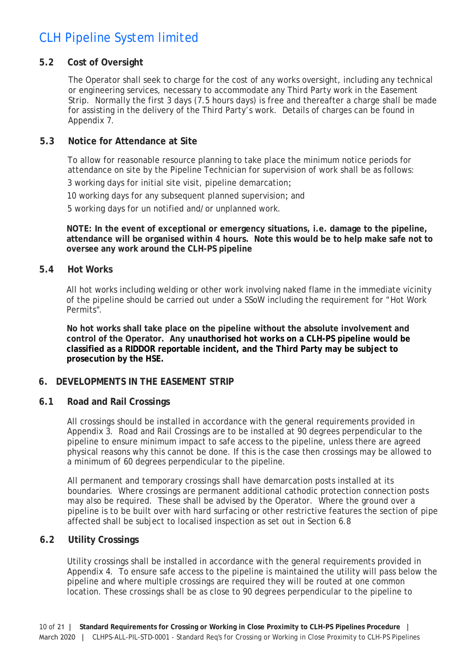### <span id="page-9-0"></span>**5.2 Cost of Oversight**

The Operator shall seek to charge for the cost of any works oversight, including any technical or engineering services, necessary to accommodate any Third Party work in the Easement Strip. Normally the first 3 days (7.5 hours days) is free and thereafter a charge shall be made for assisting in the delivery of the Third Party's work. Details of charges can be found in Appendix 7.

#### <span id="page-9-1"></span>**5.3 Notice for Attendance at Site**

To allow for reasonable resource planning to take place the minimum notice periods for attendance on site by the Pipeline Technician for supervision of work shall be as follows: 3 working days for initial site visit, pipeline demarcation;

10 working days for any subsequent planned supervision; and

5 working days for un notified and/or unplanned work.

**NOTE: In the event of exceptional or emergency situations, i.e. damage to the pipeline, attendance will be organised within 4 hours. Note this would be to help make safe not to oversee any work around the CLH-PS pipeline**

#### <span id="page-9-2"></span>**5.4 Hot Works**

All hot works including welding or other work involving naked flame in the immediate vicinity of the pipeline should be carried out under a SSoW including the requirement for "Hot Work Permits".

**No hot works shall take place on the pipeline without the absolute involvement and control of the Operator. Any unauthorised hot works on a CLH-PS pipeline would be classified as a RIDDOR reportable incident, and the Third Party may be subject to prosecution by the HSE.**

### **6. DEVELOPMENTS IN THE EASEMENT STRIP**

#### <span id="page-9-4"></span><span id="page-9-3"></span>**6.1 Road and Rail Crossings**

All crossings should be installed in accordance with the general requirements provided in Appendix 3. Road and Rail Crossings are to be installed at 90 degrees perpendicular to the pipeline to ensure minimum impact to safe access to the pipeline, unless there are agreed physical reasons why this cannot be done. If this is the case then crossings may be allowed to a minimum of 60 degrees perpendicular to the pipeline.

All permanent and temporary crossings shall have demarcation posts installed at its boundaries. Where crossings are permanent additional cathodic protection connection posts may also be required. These shall be advised by the Operator. Where the ground over a pipeline is to be built over with hard surfacing or other restrictive features the section of pipe affected shall be subject to localised inspection as set out in Section 6.8

### <span id="page-9-5"></span>**6.2 Utility Crossings**

Utility crossings shall be installed in accordance with the general requirements provided in Appendix 4. To ensure safe access to the pipeline is maintained the utility will pass below the pipeline and where multiple crossings are required they will be routed at one common location. These crossings shall be as close to 90 degrees perpendicular to the pipeline to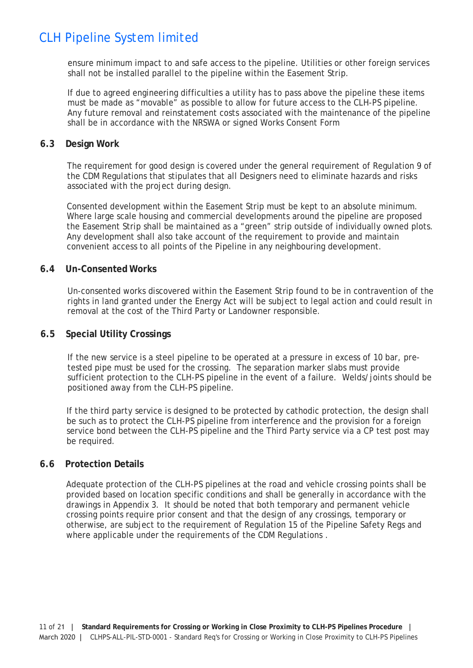ensure minimum impact to and safe access to the pipeline. Utilities or other foreign services shall not be installed parallel to the pipeline within the Easement Strip.

If due to agreed engineering difficulties a utility has to pass above the pipeline these items must be made as "movable" as possible to allow for future access to the CLH-PS pipeline. Any future removal and reinstatement costs associated with the maintenance of the pipeline shall be in accordance with the NRSWA or signed Works Consent Form

#### **6.3 Design Work**

The requirement for good design is covered under the general requirement of Regulation 9 of the CDM Regulations that stipulates that all Designers need to eliminate hazards and risks associated with the project during design.

<span id="page-10-0"></span>Consented development within the Easement Strip must be kept to an absolute minimum. Where large scale housing and commercial developments around the pipeline are proposed the Easement Strip shall be maintained as a "green" strip outside of individually owned plots. Any development shall also take account of the requirement to provide and maintain convenient access to all points of the Pipeline in any neighbouring development.

#### **6.4 Un-Consented Works**

Un-consented works discovered within the Easement Strip found to be in contravention of the rights in land granted under the Energy Act will be subject to legal action and could result in removal at the cost of the Third Party or Landowner responsible.

#### <span id="page-10-1"></span>**6.5 Special Utility Crossings**

If the new service is a steel pipeline to be operated at a pressure in excess of 10 bar, pretested pipe must be used for the crossing. The separation marker slabs must provide sufficient protection to the CLH-PS pipeline in the event of a failure. Welds/joints should be positioned away from the CLH-PS pipeline.

<span id="page-10-2"></span>If the third party service is designed to be protected by cathodic protection, the design shall be such as to protect the CLH-PS pipeline from interference and the provision for a foreign service bond between the CLH-PS pipeline and the Third Party service via a CP test post may be required.

#### **6.6 Protection Details**

<span id="page-10-3"></span>Adequate protection of the CLH-PS pipelines at the road and vehicle crossing points shall be provided based on location specific conditions and shall be generally in accordance with the drawings in Appendix 3. It should be noted that both temporary and permanent vehicle crossing points require prior consent and that the design of any crossings, temporary or otherwise, are subject to the requirement of Regulation 15 of the Pipeline Safety Regs and where applicable under the requirements of the CDM Regulations .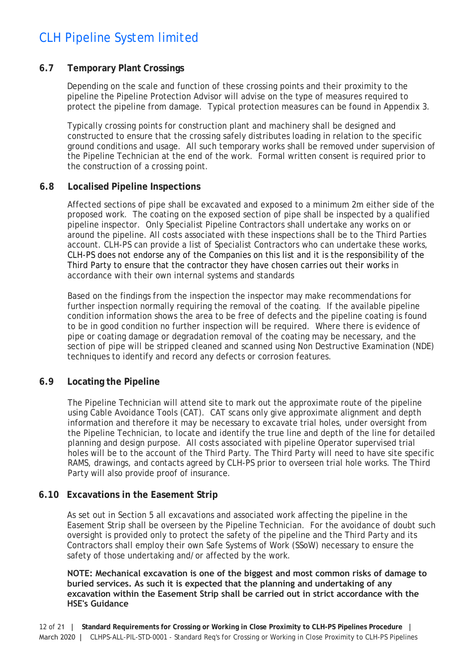#### <span id="page-11-0"></span>**6.7 Temporary Plant Crossings**

Depending on the scale and function of these crossing points and their proximity to the pipeline the Pipeline Protection Advisor will advise on the type of measures required to protect the pipeline from damage. Typical protection measures can be found in Appendix 3.

Typically crossing points for construction plant and machinery shall be designed and constructed to ensure that the crossing safely distributes loading in relation to the specific ground conditions and usage. All such temporary works shall be removed under supervision of the Pipeline Technician at the end of the work. Formal written consent is required prior to the construction of a crossing point.

#### <span id="page-11-1"></span>**6.8 Localised Pipeline Inspections**

Affected sections of pipe shall be excavated and exposed to a minimum 2m either side of the proposed work. The coating on the exposed section of pipe shall be inspected by a qualified pipeline inspector. Only Specialist Pipeline Contractors shall undertake any works on or around the pipeline. All costs associated with these inspections shall be to the Third Parties account. CLH-PS can provide a list of Specialist Contractors who can undertake these works, CLH-PS does not endorse any of the Companies on this list and it is the responsibility of the Third Party to ensure that the contractor they have chosen carries out their works in accordance with their own internal systems and standards

Based on the findings from the inspection the inspector may make recommendations for further inspection normally requiring the removal of the coating. If the available pipeline condition information shows the area to be free of defects and the pipeline coating is found to be in good condition no further inspection will be required. Where there is evidence of pipe or coating damage or degradation removal of the coating may be necessary, and the section of pipe will be stripped cleaned and scanned using Non Destructive Examination (NDE) techniques to identify and record any defects or corrosion features.

### <span id="page-11-2"></span>**6.9 Locating the Pipeline**

The Pipeline Technician will attend site to mark out the approximate route of the pipeline using Cable Avoidance Tools (CAT). CAT scans only give approximate alignment and depth information and therefore it may be necessary to excavate trial holes, under oversight from the Pipeline Technician, to locate and identify the true line and depth of the line for detailed planning and design purpose. All costs associated with pipeline Operator supervised trial holes will be to the account of the Third Party. The Third Party will need to have site specific RAMS, drawings, and contacts agreed by CLH-PS prior to overseen trial hole works. The Third Party will also provide proof of insurance.

### <span id="page-11-3"></span>**6.10 Excavations in the Easement Strip**

As set out in Section 5 all excavations and associated work affecting the pipeline in the Easement Strip shall be overseen by the Pipeline Technician. For the avoidance of doubt such oversight is provided only to protect the safety of the pipeline and the Third Party and its Contractors shall employ their own Safe Systems of Work (SSoW) necessary to ensure the safety of those undertaking and/or affected by the work.

**NOTE: Mechanical excavation is one of the biggest and most common risks of damage to buried services. As such it is expected that the planning and undertaking of any excavation within the Easement Strip shall be carried out in strict accordance with the HSE's Guidance**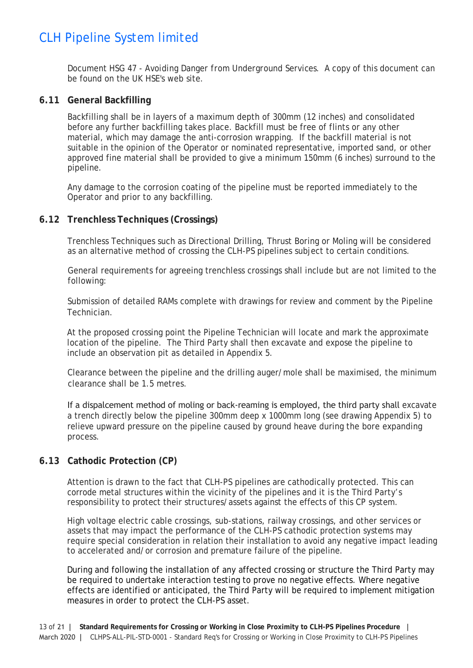Document HSG 47 - *Avoiding Danger from Underground Services*. A copy of this document can be found on the UK HSE's web site.

#### <span id="page-12-0"></span>**6.11 General Backfilling**

Backfilling shall be in layers of a maximum depth of 300mm (12 inches) and consolidated before any further backfilling takes place. Backfill must be free of flints or any other material, which may damage the anti-corrosion wrapping. If the backfill material is not suitable in the opinion of the Operator or nominated representative, imported sand, or other approved fine material shall be provided to give a minimum 150mm (6 inches) surround to the pipeline.

Any damage to the corrosion coating of the pipeline must be reported immediately to the Operator and prior to any backfilling.

#### <span id="page-12-1"></span>**6.12 Trenchless Techniques (Crossings)**

Trenchless Techniques such as Directional Drilling, Thrust Boring or Moling will be considered as an alternative method of crossing the CLH-PS pipelines subject to certain conditions.

General requirements for agreeing trenchless crossings shall include but are not limited to the following:

Submission of detailed RAMs complete with drawings for review and comment by the Pipeline Technician.

At the proposed crossing point the Pipeline Technician will locate and mark the approximate location of the pipeline. The Third Party shall then excavate and expose the pipeline to include an observation pit as detailed in Appendix 5.

Clearance between the pipeline and the drilling auger/mole shall be maximised, the minimum clearance shall be 1.5 metres.

If a dispalcement method of moling or back-reaming is employed, the third party shall excavate a trench directly below the pipeline 300mm deep x 1000mm long (see drawing Appendix 5) to relieve upward pressure on the pipeline caused by ground heave during the bore expanding process.

#### <span id="page-12-2"></span>**6.13 Cathodic Protection (CP)**

Attention is drawn to the fact that CLH-PS pipelines are cathodically protected. This can corrode metal structures within the vicinity of the pipelines and it is the Third Party's responsibility to protect their structures/assets against the effects of this CP system.

High voltage electric cable crossings, sub-stations, railway crossings, and other services or assets that may impact the performance of the CLH-PS cathodic protection systems may require special consideration in relation their installation to avoid any negative impact leading to accelerated and/or corrosion and premature failure of the pipeline.

During and following the installation of any affected crossing or structure the Third Party may be required to undertake interaction testing to prove no negative effects. Where negative effects are identified or anticipated, the Third Party will be required to implement mitigation measures in order to protect the CLH-PS asset.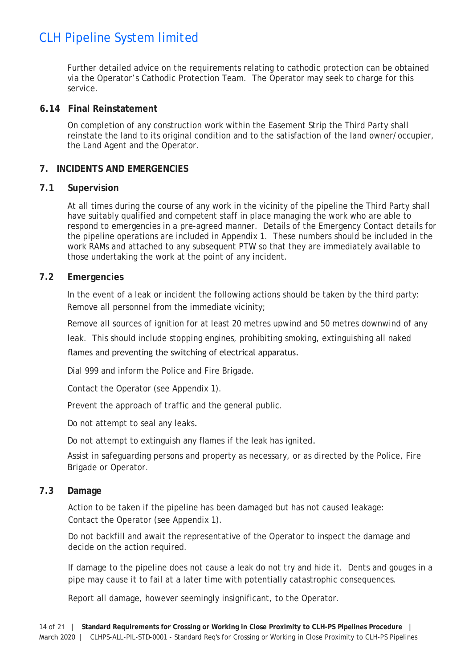Further detailed advice on the requirements relating to cathodic protection can be obtained via the Operator's Cathodic Protection Team. The Operator may seek to charge for this service.

#### <span id="page-13-0"></span>**6.14 Final Reinstatement**

On completion of any construction work within the Easement Strip the Third Party shall reinstate the land to its original condition and to the satisfaction of the land owner/occupier, the Land Agent and the Operator.

### **7. INCIDENTS AND EMERGENCIES**

#### <span id="page-13-1"></span>**7.1 Supervision**

At all times during the course of any work in the vicinity of the pipeline the Third Party shall have suitably qualified and competent staff in place managing the work who are able to respond to emergencies in a pre-agreed manner. Details of the Emergency Contact details for the pipeline operations are included in Appendix 1. These numbers should be included in the work RAMs and attached to any subsequent PTW so that they are immediately available to those undertaking the work at the point of any incident.

#### <span id="page-13-2"></span>**7.2 Emergencies**

In the event of a leak or incident the following actions should be taken by the third party: Remove all personnel from the immediate vicinity;

Remove all sources of ignition for at least 20 metres upwind and 50 metres downwind of any

leak. This should include stopping engines, prohibiting smoking, extinguishing all naked flames and preventing the switching of electrical apparatus.

Dial 999 and inform the Police and Fire Brigade.

Contact the Operator (see Appendix 1).

Prevent the approach of traffic and the general public.

Do not attempt to seal any leaks.

Do not attempt to extinguish any flames if the leak has ignited.

Assist in safeguarding persons and property as necessary, or as directed by the Police, Fire Brigade or Operator.

#### <span id="page-13-3"></span>**7.3 Damage**

Action to be taken if the pipeline has been damaged but has not caused leakage: Contact the Operator (see Appendix 1).

Do not backfill and await the representative of the Operator to inspect the damage and decide on the action required.

If damage to the pipeline does not cause a leak do not try and hide it. Dents and gouges in a pipe may cause it to fail at a later time with potentially catastrophic consequences.

Report all damage, however seemingly insignificant, to the Operator.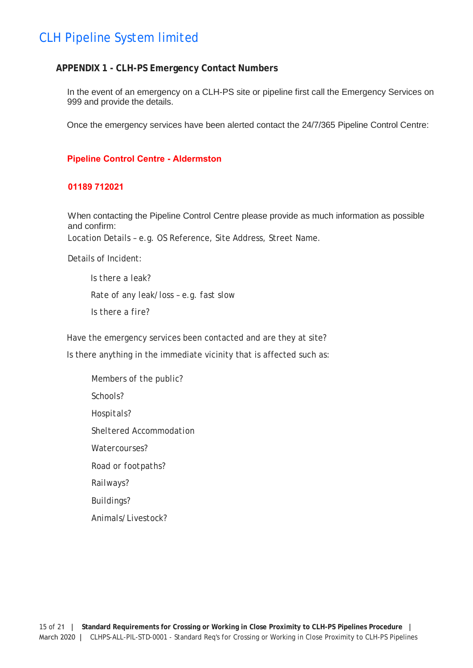#### <span id="page-14-0"></span>**APPENDIX 1 - CLH-PS Emergency Contact Numbers**

In the event of an emergency on a CLH-PS site or pipeline first call the Emergency Services on 999 and provide the details.

Once the emergency services have been alerted contact the 24/7/365 Pipeline Control Centre:

#### **Pipeline Control Centre - Aldermston**

#### **01189 712021**

When contacting the Pipeline Control Centre please provide as much information as possible and confirm: Location Details – e.g. OS Reference, Site Address, Street Name.

Details of Incident:

*Is there a leak? Rate of any leak/loss – e.g. fast slow Is there a fire?*

Have the emergency services been contacted and are they at site? Is there anything in the immediate vicinity that is affected such as:

*Members of the public? Schools? Hospitals? Sheltered Accommodation Watercourses? Road or footpaths? Railways? Buildings? Animals/Livestock?*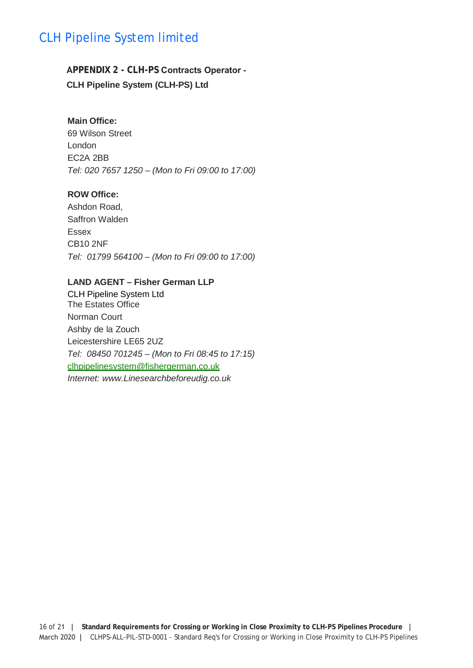## <span id="page-15-0"></span>**APPENDIX 2 - CLH-PS Contracts Operator - CLH Pipeline System (CLH-PS) Ltd**

#### **Main Office:**

69 Wilson Street London EC2A 2BB *Tel: 020 7657 1250 – (Mon to Fri 09:00 to 17:00)*

#### **ROW Office:**

Ashdon Road, Saffron Walden Essex CB10 2NF *Tel: 01799 564100 – (Mon to Fri 09:00 to 17:00)*

#### **LAND AGENT – Fisher German LLP**

CLH Pipeline System Ltd The Estates Office Norman Court Ashby de la Zouch Leicestershire LE65 2UZ *Tel: 08450 701245 – (Mon to Fri 08:45 to 17:15)* clhpipelinesystem@fishergerman.co.uk *Internet: [www.Linesearchbeforeudig.co.](mailto:clhpipelinesystem@fishergerman.co.uk)[uk](http://www.linesearchbeforeudig.co.uk/)*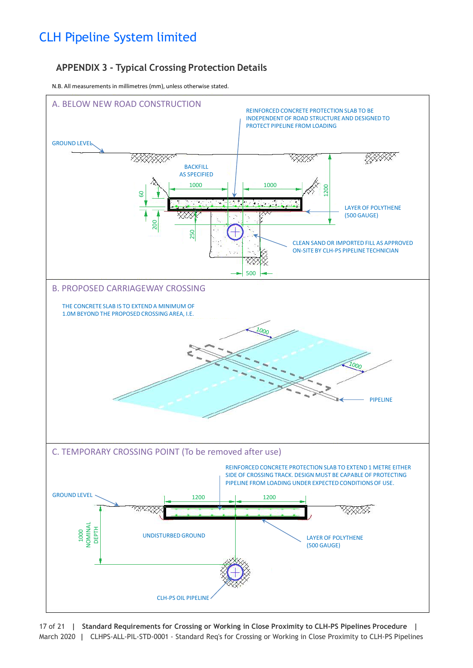## **APPENDIX 3 - Typical Crossing Protection Details**

N.B. All measurements in millimetres (mm), unless otherwise stated.



17 of 21 **| Standard Requirements for Crossing or Working in Close Proximity to CLH-PS Pipelines Procedure |** March 2020 **|** CLHPS-ALL-PIL-STD-0001 - Standard Req's for Crossing or Working in Close Proximity to CLH-PS Pipelines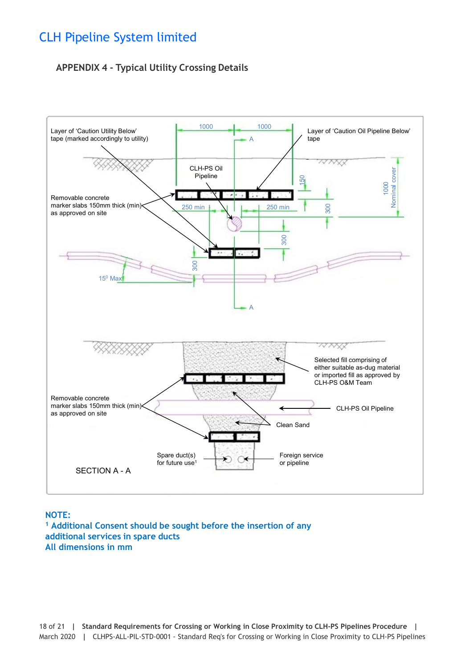## **APPENDIX 4 - Typical Utility Crossing Details**



**NOTE: <sup>1</sup> Additional Consent should be sought before the insertion of any additional services in spare ducts All dimensions in mm**

18 of 21 **| Standard Requirements for Crossing or Working in Close Proximity to CLH-PS Pipelines Procedure |** March 2020 **|** CLHPS-ALL-PIL-STD-0001 - Standard Req's for Crossing or Working in Close Proximity to CLH-PS Pipelines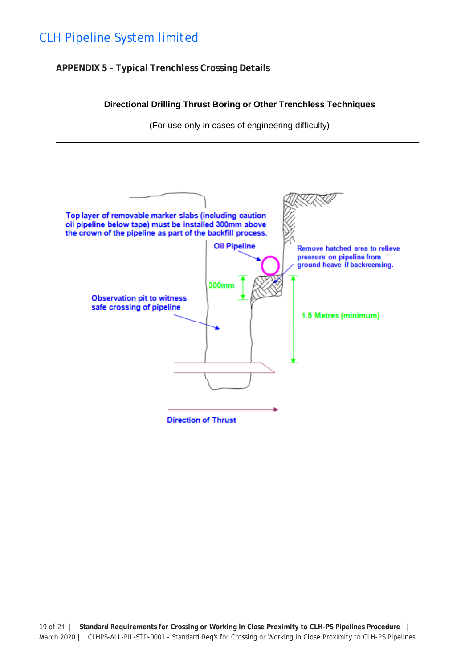## **APPENDIX 5 - Typical Trenchless Crossing Details**

#### **Directional Drilling Thrust Boring or Other Trenchless Techniques**

(For use only in cases of engineering difficulty)

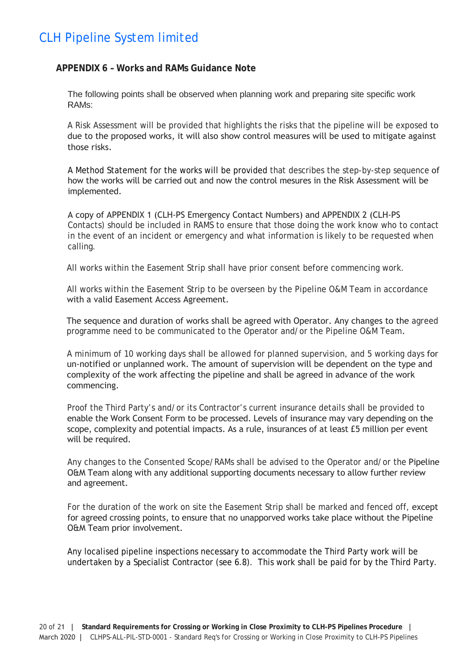#### **APPENDIX 6 – Works and RAMs Guidance Note**

The following points shall be observed when planning work and preparing site specific work RAMs:

A Risk Assessment will be provided that highlights the risks that the pipeline will be exposed to due to the proposed works, it will also show control measures will be used to mitigate against those risks.

A Method Statement for the works will be provided that describes the step-by-step sequence of how the works will be carried out and now the control mesures in the Risk Assessment will be implemented.

A copy of APPENDIX 1 (CLH-PS Emergency Contact Numbers) and APPENDIX 2 (CLH-PS Contacts) should be included in RAMS to ensure that those doing the work know who to contact in the event of an incident or emergency and what information is likely to be requested when calling.

All works within the Easement Strip shall have prior consent before commencing work.

All works within the Easement Strip to be overseen by the Pipeline O&M Team in accordance with a valid Easement Access Agreement.

The sequence and duration of works shall be agreed with Operator. Any changes to the agreed programme need to be communicated to the Operator and/or the Pipeline O&M Team.

A minimum of 10 working days shall be allowed for planned supervision, and 5 working days for un-notified or unplanned work. The amount of supervision will be dependent on the type and complexity of the work affecting the pipeline and shall be agreed in advance of the work commencing.

Proof the Third Party's and/or its Contractor's current insurance details shall be provided to enable the Work Consent Form to be processed. Levels of insurance may vary depending on the scope, complexity and potential impacts. As a rule, insurances of at least £5 million per event will be required.

Any changes to the Consented Scope/RAMs shall be advised to the Operator and/or the Pipeline O&M Team along with any additional supporting documents necessary to allow further review and agreement.

For the duration of the work on site the Easement Strip shall be marked and fenced off, except for agreed crossing points, to ensure that no unapporved works take place without the Pipeline O&M Team prior involvement.

Any localised pipeline inspections necessary to accommodate the Third Party work will be undertaken by a Specialist Contractor (see 6.8). This work shall be paid for by the Third Party.